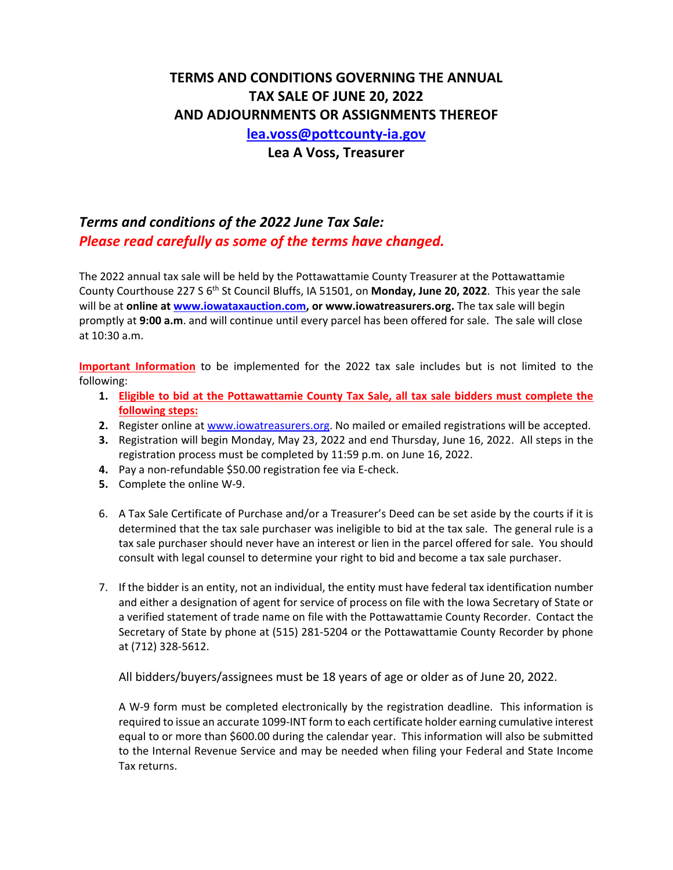# **TERMS AND CONDITIONS GOVERNING THE ANNUAL TAX SALE OF JUNE 20, 2022 AND ADJOURNMENTS OR ASSIGNMENTS THEREOF lea.voss@pottcounty‐ia.gov**

**Lea A Voss, Treasurer** 

# *Terms and conditions of the 2022 June Tax Sale: Please read carefully as some of the terms have changed.*

The 2022 annual tax sale will be held by the Pottawattamie County Treasurer at the Pottawattamie County Courthouse 227 S 6th St Council Bluffs, IA 51501, on **Monday, June 20, 2022**. This year the sale will be at **online at www.iowataxauction.com, or www.iowatreasurers.org.** The tax sale will begin promptly at **9:00 a.m**. and will continue until every parcel has been offered for sale. The sale will close at 10:30 a.m.

**Important Information** to be implemented for the 2022 tax sale includes but is not limited to the following:

- **1. Eligible to bid at the Pottawattamie County Tax Sale, all tax sale bidders must complete the following steps:**
- **2.** Register online at www.iowatreasurers.org. No mailed or emailed registrations will be accepted.
- **3.** Registration will begin Monday, May 23, 2022 and end Thursday, June 16, 2022. All steps in the registration process must be completed by 11:59 p.m. on June 16, 2022.
- **4.** Pay a non‐refundable \$50.00 registration fee via E‐check.
- **5.** Complete the online W‐9.
- 6. A Tax Sale Certificate of Purchase and/or a Treasurer's Deed can be set aside by the courts if it is determined that the tax sale purchaser was ineligible to bid at the tax sale. The general rule is a tax sale purchaser should never have an interest or lien in the parcel offered for sale. You should consult with legal counsel to determine your right to bid and become a tax sale purchaser.
- 7. If the bidder is an entity, not an individual, the entity must have federal tax identification number and either a designation of agent for service of process on file with the Iowa Secretary of State or a verified statement of trade name on file with the Pottawattamie County Recorder. Contact the Secretary of State by phone at (515) 281‐5204 or the Pottawattamie County Recorder by phone at (712) 328‐5612.

All bidders/buyers/assignees must be 18 years of age or older as of June 20, 2022.

A W-9 form must be completed electronically by the registration deadline. This information is required to issue an accurate 1099‐INT form to each certificate holder earning cumulative interest equal to or more than \$600.00 during the calendar year. This information will also be submitted to the Internal Revenue Service and may be needed when filing your Federal and State Income Tax returns.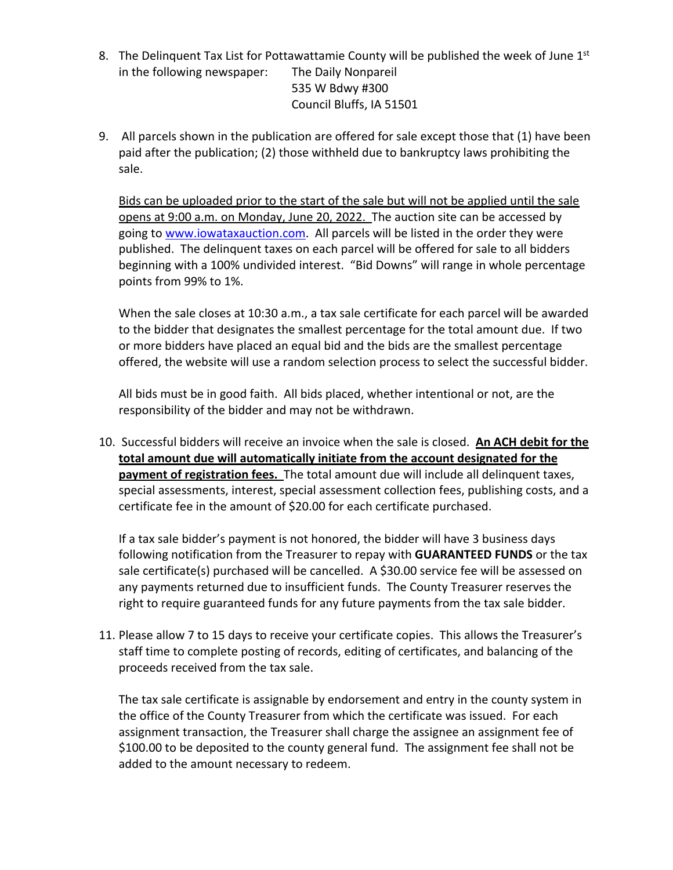- 8. The Delinquent Tax List for Pottawattamie County will be published the week of June  $1<sup>st</sup>$ in the following newspaper: The Daily Nonpareil 535 W Bdwy #300 Council Bluffs, IA 51501
- 9. All parcels shown in the publication are offered for sale except those that (1) have been paid after the publication; (2) those withheld due to bankruptcy laws prohibiting the sale.

Bids can be uploaded prior to the start of the sale but will not be applied until the sale opens at 9:00 a.m. on Monday, June 20, 2022. The auction site can be accessed by going to www.iowataxauction.com. All parcels will be listed in the order they were published. The delinquent taxes on each parcel will be offered for sale to all bidders beginning with a 100% undivided interest. "Bid Downs" will range in whole percentage points from 99% to 1%.

When the sale closes at 10:30 a.m., a tax sale certificate for each parcel will be awarded to the bidder that designates the smallest percentage for the total amount due. If two or more bidders have placed an equal bid and the bids are the smallest percentage offered, the website will use a random selection process to select the successful bidder.

All bids must be in good faith. All bids placed, whether intentional or not, are the responsibility of the bidder and may not be withdrawn.

10. Successful bidders will receive an invoice when the sale is closed. **An ACH debit for the total amount due will automatically initiate from the account designated for the payment of registration fees.** The total amount due will include all delinquent taxes, special assessments, interest, special assessment collection fees, publishing costs, and a certificate fee in the amount of \$20.00 for each certificate purchased.

If a tax sale bidder's payment is not honored, the bidder will have 3 business days following notification from the Treasurer to repay with **GUARANTEED FUNDS** or the tax sale certificate(s) purchased will be cancelled. A \$30.00 service fee will be assessed on any payments returned due to insufficient funds. The County Treasurer reserves the right to require guaranteed funds for any future payments from the tax sale bidder.

11. Please allow 7 to 15 days to receive your certificate copies. This allows the Treasurer's staff time to complete posting of records, editing of certificates, and balancing of the proceeds received from the tax sale.

The tax sale certificate is assignable by endorsement and entry in the county system in the office of the County Treasurer from which the certificate was issued. For each assignment transaction, the Treasurer shall charge the assignee an assignment fee of \$100.00 to be deposited to the county general fund. The assignment fee shall not be added to the amount necessary to redeem.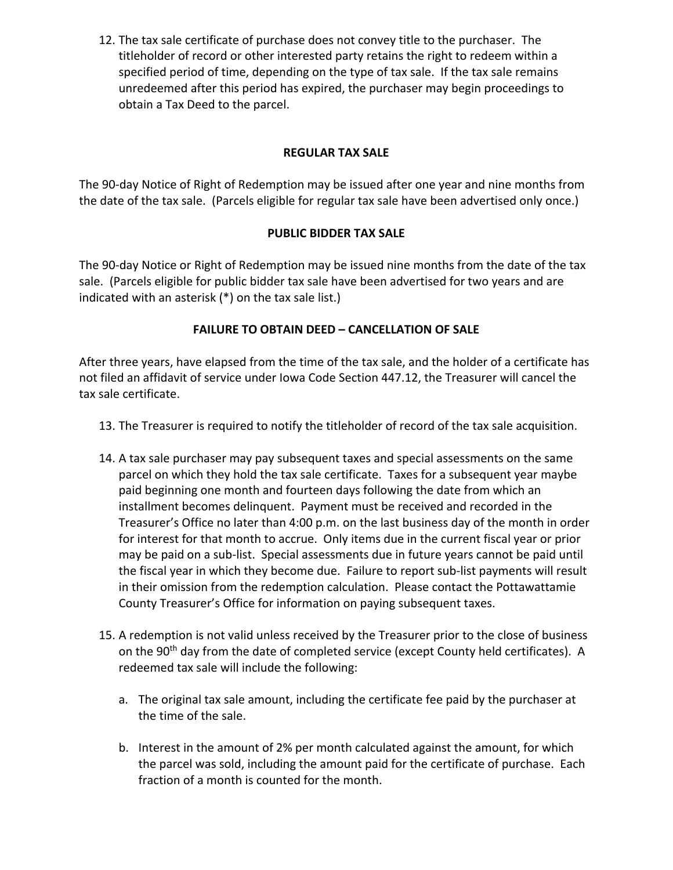12. The tax sale certificate of purchase does not convey title to the purchaser. The titleholder of record or other interested party retains the right to redeem within a specified period of time, depending on the type of tax sale. If the tax sale remains unredeemed after this period has expired, the purchaser may begin proceedings to obtain a Tax Deed to the parcel.

### **REGULAR TAX SALE**

The 90-day Notice of Right of Redemption may be issued after one year and nine months from the date of the tax sale. (Parcels eligible for regular tax sale have been advertised only once.)

### **PUBLIC BIDDER TAX SALE**

The 90-day Notice or Right of Redemption may be issued nine months from the date of the tax sale. (Parcels eligible for public bidder tax sale have been advertised for two years and are indicated with an asterisk (\*) on the tax sale list.)

### **FAILURE TO OBTAIN DEED – CANCELLATION OF SALE**

After three years, have elapsed from the time of the tax sale, and the holder of a certificate has not filed an affidavit of service under Iowa Code Section 447.12, the Treasurer will cancel the tax sale certificate.

- 13. The Treasurer is required to notify the titleholder of record of the tax sale acquisition.
- 14. A tax sale purchaser may pay subsequent taxes and special assessments on the same parcel on which they hold the tax sale certificate. Taxes for a subsequent year maybe paid beginning one month and fourteen days following the date from which an installment becomes delinquent. Payment must be received and recorded in the Treasurer's Office no later than 4:00 p.m. on the last business day of the month in order for interest for that month to accrue. Only items due in the current fiscal year or prior may be paid on a sub‐list. Special assessments due in future years cannot be paid until the fiscal year in which they become due. Failure to report sub‐list payments will result in their omission from the redemption calculation. Please contact the Pottawattamie County Treasurer's Office for information on paying subsequent taxes.
- 15. A redemption is not valid unless received by the Treasurer prior to the close of business on the 90<sup>th</sup> day from the date of completed service (except County held certificates). A redeemed tax sale will include the following:
	- a. The original tax sale amount, including the certificate fee paid by the purchaser at the time of the sale.
	- b. Interest in the amount of 2% per month calculated against the amount, for which the parcel was sold, including the amount paid for the certificate of purchase. Each fraction of a month is counted for the month.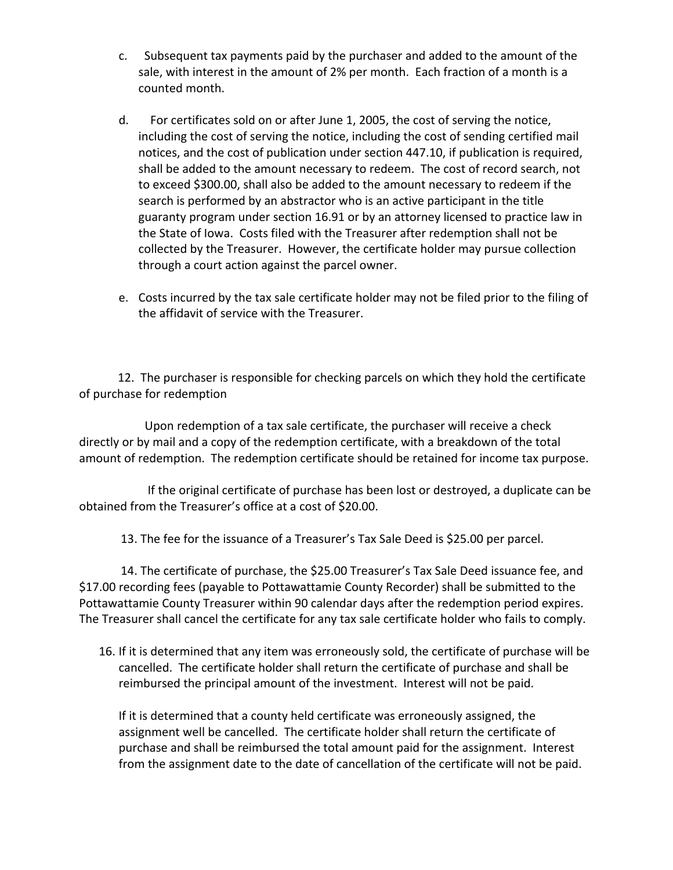- c. Subsequent tax payments paid by the purchaser and added to the amount of the sale, with interest in the amount of 2% per month. Each fraction of a month is a counted month.
- d. For certificates sold on or after June 1, 2005, the cost of serving the notice, including the cost of serving the notice, including the cost of sending certified mail notices, and the cost of publication under section 447.10, if publication is required, shall be added to the amount necessary to redeem. The cost of record search, not to exceed \$300.00, shall also be added to the amount necessary to redeem if the search is performed by an abstractor who is an active participant in the title guaranty program under section 16.91 or by an attorney licensed to practice law in the State of Iowa. Costs filed with the Treasurer after redemption shall not be collected by the Treasurer. However, the certificate holder may pursue collection through a court action against the parcel owner.
- e. Costs incurred by the tax sale certificate holder may not be filed prior to the filing of the affidavit of service with the Treasurer.

 12. The purchaser is responsible for checking parcels on which they hold the certificate of purchase for redemption

 Upon redemption of a tax sale certificate, the purchaser will receive a check directly or by mail and a copy of the redemption certificate, with a breakdown of the total amount of redemption. The redemption certificate should be retained for income tax purpose.

 If the original certificate of purchase has been lost or destroyed, a duplicate can be obtained from the Treasurer's office at a cost of \$20.00.

13. The fee for the issuance of a Treasurer's Tax Sale Deed is \$25.00 per parcel.

 14. The certificate of purchase, the \$25.00 Treasurer's Tax Sale Deed issuance fee, and \$17.00 recording fees (payable to Pottawattamie County Recorder) shall be submitted to the Pottawattamie County Treasurer within 90 calendar days after the redemption period expires. The Treasurer shall cancel the certificate for any tax sale certificate holder who fails to comply.

16. If it is determined that any item was erroneously sold, the certificate of purchase will be cancelled. The certificate holder shall return the certificate of purchase and shall be reimbursed the principal amount of the investment. Interest will not be paid.

If it is determined that a county held certificate was erroneously assigned, the assignment well be cancelled. The certificate holder shall return the certificate of purchase and shall be reimbursed the total amount paid for the assignment. Interest from the assignment date to the date of cancellation of the certificate will not be paid.